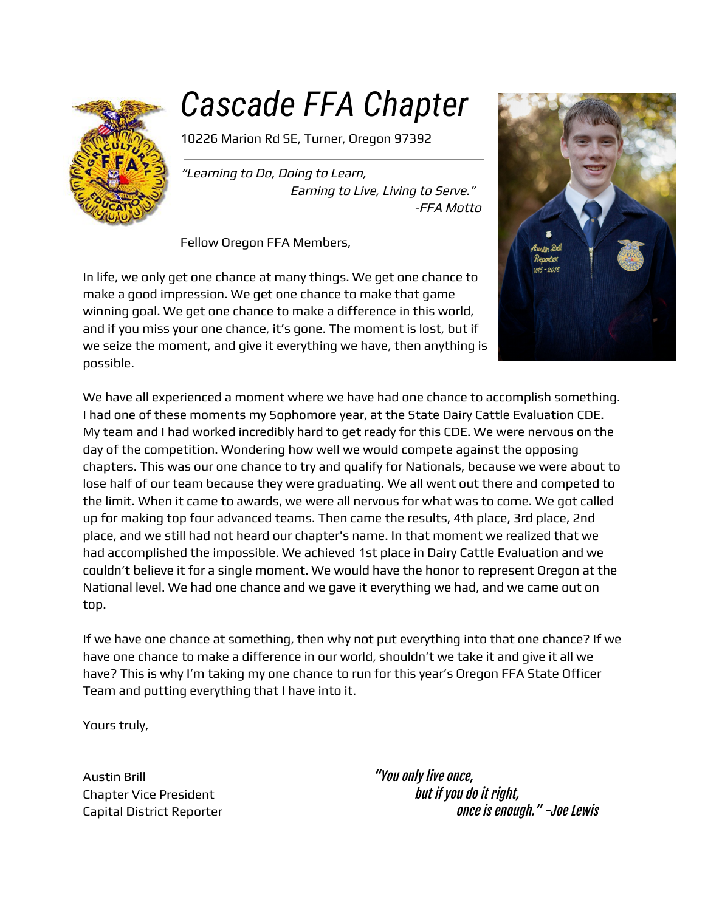

# *Cascade FFA Chapter*

10226 Marion Rd SE, Turner, Oregon 97392

"Learning to Do, Doing to Learn, Earning to Live, Living to Serve." -FFA Motto

Fellow Oregon FFA Members,

In life, we only get one chance at many things. We get one chance to make a good impression. We get one chance to make that game winning goal. We get one chance to make a difference in this world, and if you miss your one chance, it's gone. The moment is lost, but if we seize the moment, and give it everything we have, then anything is possible.



We have all experienced a moment where we have had one chance to accomplish something. I had one of these moments my Sophomore year, at the State Dairy Cattle Evaluation CDE. My team and I had worked incredibly hard to get ready for this CDE. We were nervous on the day of the competition. Wondering how well we would compete against the opposing chapters. This was our one chance to try and qualify for Nationals, because we were about to lose half of our team because they were graduating. We all went out there and competed to the limit. When it came to awards, we were all nervous for what was to come. We got called up for making top four advanced teams. Then came the results, 4th place, 3rd place, 2nd place, and we still had not heard our chapter's name. In that moment we realized that we had accomplished the impossible. We achieved 1st place in Dairy Cattle Evaluation and we couldn't believe it for a single moment. We would have the honor to represent Oregon at the National level. We had one chance and we gave it everything we had, and we came out on top.

If we have one chance at something, then why not put everything into that one chance? If we have one chance to make a difference in our world, shouldn't we take it and give it all we have? This is why I'm taking my one chance to run for this year's Oregon FFA State Officer Team and putting everything that I have into it.

Yours truly,

Austin Brill **Austin Brill Austin Brill Austin Brill** 

Chapter Vice President but if you do it right, Capital District Reporter **Capital District Reporter** once is enough." -Joe Lewis